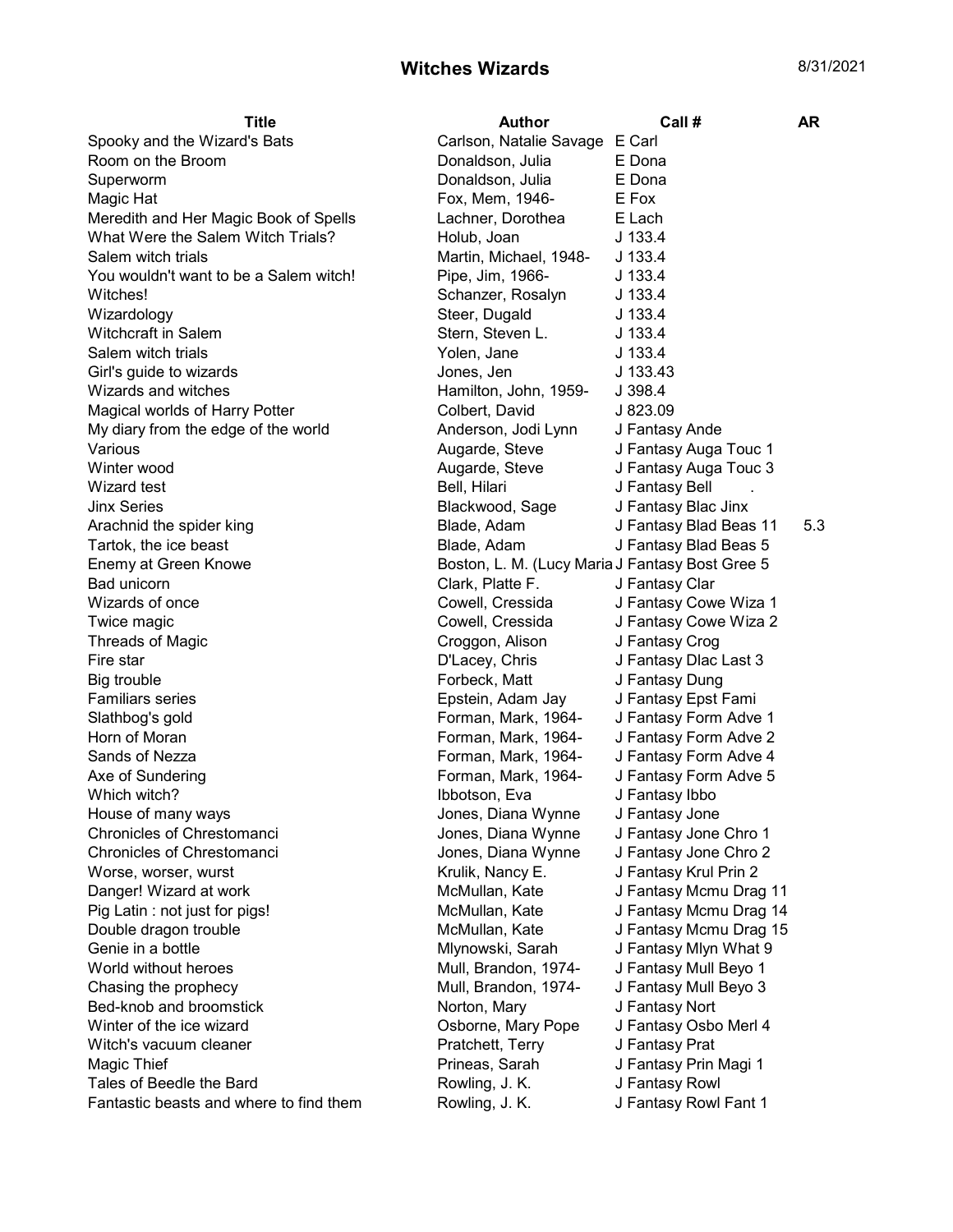## Witches Wizards 8/31/2021

| <b>Title</b>                            | <b>Author</b>                                   | Call #                 | AR  |
|-----------------------------------------|-------------------------------------------------|------------------------|-----|
| Spooky and the Wizard's Bats            | Carlson, Natalie Savage E Carl                  |                        |     |
| Room on the Broom                       | Donaldson, Julia                                | E Dona                 |     |
| Superworm                               | Donaldson, Julia                                | E Dona                 |     |
| Magic Hat                               | Fox, Mem, 1946-                                 | E Fox                  |     |
| Meredith and Her Magic Book of Spells   | Lachner, Dorothea                               | E Lach                 |     |
| What Were the Salem Witch Trials?       | Holub, Joan                                     | $J$ 133.4              |     |
| Salem witch trials                      | Martin, Michael, 1948-                          | J 133.4                |     |
| You wouldn't want to be a Salem witch!  | Pipe, Jim, 1966-                                | $J$ 133.4              |     |
| Witches!                                | Schanzer, Rosalyn                               | $J$ 133.4              |     |
| Wizardology                             | Steer, Dugald                                   | $J$ 133.4              |     |
| Witchcraft in Salem                     | Stern, Steven L.                                | $J$ 133.4              |     |
| Salem witch trials                      | Yolen, Jane                                     | J 133.4                |     |
| Girl's guide to wizards                 | Jones, Jen                                      | J 133.43               |     |
| Wizards and witches                     | Hamilton, John, 1959-                           | J.398.4                |     |
| Magical worlds of Harry Potter          | Colbert, David                                  | J823.09                |     |
| My diary from the edge of the world     | Anderson, Jodi Lynn                             | J Fantasy Ande         |     |
| Various                                 | Augarde, Steve                                  | J Fantasy Auga Touc 1  |     |
| Winter wood                             | Augarde, Steve                                  | J Fantasy Auga Touc 3  |     |
| Wizard test                             | Bell, Hilari                                    | J Fantasy Bell         |     |
| <b>Jinx Series</b>                      | Blackwood, Sage                                 | J Fantasy Blac Jinx    |     |
| Arachnid the spider king                | Blade, Adam                                     | J Fantasy Blad Beas 11 | 5.3 |
| Tartok, the ice beast                   | Blade, Adam                                     | J Fantasy Blad Beas 5  |     |
| Enemy at Green Knowe                    | Boston, L. M. (Lucy Maria J Fantasy Bost Gree 5 |                        |     |
| Bad unicorn                             | Clark, Platte F.                                | J Fantasy Clar         |     |
| Wizards of once                         | Cowell, Cressida                                | J Fantasy Cowe Wiza 1  |     |
| Twice magic                             | Cowell, Cressida                                | J Fantasy Cowe Wiza 2  |     |
| <b>Threads of Magic</b>                 | Croggon, Alison                                 | J Fantasy Crog         |     |
| Fire star                               | D'Lacey, Chris                                  | J Fantasy Dlac Last 3  |     |
| Big trouble                             | Forbeck, Matt                                   | J Fantasy Dung         |     |
| <b>Familiars series</b>                 | Epstein, Adam Jay                               | J Fantasy Epst Fami    |     |
| Slathbog's gold                         | Forman, Mark, 1964-                             | J Fantasy Form Adve 1  |     |
| Horn of Moran                           | Forman, Mark, 1964-                             | J Fantasy Form Adve 2  |     |
| Sands of Nezza                          | Forman, Mark, 1964-                             | J Fantasy Form Adve 4  |     |
| Axe of Sundering                        | Forman, Mark, 1964-                             | J Fantasy Form Adve 5  |     |
| Which witch?                            | Ibbotson, Eva                                   | J Fantasy Ibbo         |     |
| House of many ways                      | Jones, Diana Wynne                              | J Fantasy Jone         |     |
| Chronicles of Chrestomanci              | Jones, Diana Wynne                              | J Fantasy Jone Chro 1  |     |
| Chronicles of Chrestomanci              | Jones, Diana Wynne                              | J Fantasy Jone Chro 2  |     |
| Worse, worser, wurst                    | Krulik, Nancy E.                                | J Fantasy Krul Prin 2  |     |
| Danger! Wizard at work                  | McMullan, Kate                                  | J Fantasy Mcmu Drag 11 |     |
| Pig Latin: not just for pigs!           | McMullan, Kate                                  | J Fantasy Mcmu Drag 14 |     |
| Double dragon trouble                   | McMullan, Kate                                  | J Fantasy Mcmu Drag 15 |     |
| Genie in a bottle                       | Mlynowski, Sarah                                | J Fantasy Mlyn What 9  |     |
| World without heroes                    | Mull, Brandon, 1974-                            | J Fantasy Mull Beyo 1  |     |
| Chasing the prophecy                    | Mull, Brandon, 1974-                            | J Fantasy Mull Beyo 3  |     |
| Bed-knob and broomstick                 | Norton, Mary                                    | J Fantasy Nort         |     |
| Winter of the ice wizard                | Osborne, Mary Pope                              | J Fantasy Osbo Merl 4  |     |
| Witch's vacuum cleaner                  | Pratchett, Terry                                | J Fantasy Prat         |     |
| Magic Thief                             | Prineas, Sarah                                  | J Fantasy Prin Magi 1  |     |
| Tales of Beedle the Bard                | Rowling, J. K.                                  | J Fantasy Rowl         |     |
| Fantastic beasts and where to find them | Rowling, J. K.                                  | J Fantasy Rowl Fant 1  |     |
|                                         |                                                 |                        |     |